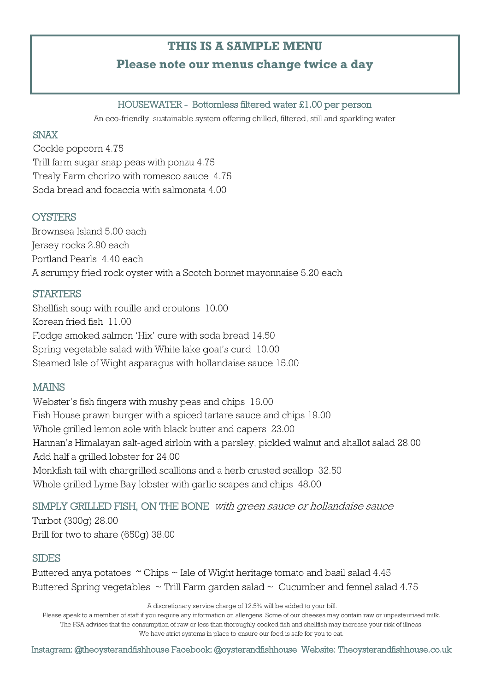# **THIS IS A SAMPLE MENU**

# **Please note our menus change twice a day**

#### HOUSEWATER - Bottomless filtered water £1.00 per person

An eco-friendly, sustainable system offering chilled, filtered, still and sparkling water

#### SNAX

Cockle popcorn 4.75 Trill farm sugar snap peas with ponzu 4.75 Trealy Farm chorizo with romesco sauce 4.75 Soda bread and focaccia with salmonata 4.00

## **OYSTERS**

Brownsea Island 5.00 each Jersey rocks 2.90 each Portland Pearls 4.40 each A scrumpy fried rock oyster with a Scotch bonnet mayonnaise 5.20 each

## **STARTERS**

Shellfish soup with rouille and croutons 10.00 Korean fried fish 11.00 Flodge smoked salmon 'Hix' cure with soda bread 14.50 Spring vegetable salad with White lake goat's curd 10.00 Steamed Isle of Wight asparagus with hollandaise sauce 15.00

## MAINS

Webster's fish fingers with mushy peas and chips 16.00 Fish House prawn burger with a spiced tartare sauce and chips 19.00 Whole grilled lemon sole with black butter and capers 23.00 Hannan's Himalayan salt-aged sirloin with a parsley, pickled walnut and shallot salad 28.00 Add half a grilled lobster for 24.00 Monkfish tail with chargrilled scallions and a herb crusted scallop 32.50 Whole grilled Lyme Bay lobster with garlic scapes and chips 48.00

# SIMPLY GRILLED FISH, ON THE BONE with green sauce or hollandaise sauce

Turbot (300g) 28.00 Brill for two to share (650g) 38.00

## **SIDES**

Buttered anya potatoes  $\sim$  Chips  $\sim$  Isle of Wight heritage tomato and basil salad 4.45 Buttered Spring vegetables  $\sim$  Trill Farm garden salad  $\sim$  Cucumber and fennel salad 4.75

A discretionary service charge of 12.5% will be added to your bill.

Please speak to a member of staff if you require any information on allergens. Some of our cheeses may contain raw or unpasteurised milk. The FSA advises that the consumption of raw or less than thoroughly cooked fish and shellfish may increase your risk of illness.

We have strict systems in place to ensure our food is safe for you to eat.

Instagram: @theoysterandfishhouse Facebook: @oysterandfishhouse Website: Theoysterandfishhouse.co.uk